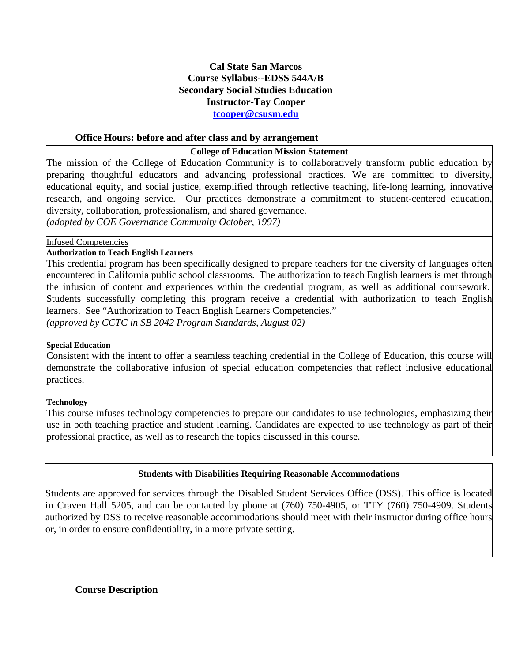# **Cal State San Marcos Course Syllabus--EDSS 544A/B Secondary Social Studies Education Instructor-Tay Cooper tcooper@csusm.edu**

## **Office Hours: before and after class and by arrangement**

#### **College of Education Mission Statement**

The mission of the College of Education Community is to collaboratively transform public education by preparing thoughtful educators and advancing professional practices. We are committed to diversity, educational equity, and social justice, exemplified through reflective teaching, life-long learning, innovative research, and ongoing service. Our practices demonstrate a commitment to student-centered education, diversity, collaboration, professionalism, and shared governance.

*(adopted by COE Governance Community October, 1997)*

## Infused Competencies

## **Authorization to Teach English Learners**

encountered in California public school classrooms. The authorization to teach English learners is met through the infusion of content and experiences within the credential program, as well as additional coursework. Students successfully completing this program receive a credential with authorization to teach English learners. See "Authorization to Teach English Learners Competencies." This credential program has been specifically designed to prepare teachers for the diversity of languages often

(approved by CCTC in SB 2042 Program Standards, August 02) <sup>1</sup>  $\alpha$  course successfully completing this program receive a credential with authorization to teach  $\alpha$ 

# **Special Education to Teach English Learners Competencies. The Teach English Learners Competencies. The Competencies of Teach English Learners Competencies. The Competencies of Teach English Learners Competencies. The Comp**

Consistent with the intent to offer a seamless teaching credential in the College of Education, this course will practices. Consistent with the intent to offer a seamless teaching credential in the College of Education, this course will demonstrate the collaborative infusion of special education competencies that reflect inclusive educational

#### demonstrate the collaboration of special education of special education competencies that reflect inclusive edu **Technology**

I

This course infuses technology competencies to prepare our candidates to use technologies, emphasizing their use in both teaching practice and student learning. Candidates are expected to use technology as part of their professional practice, as well as to research the topics discussed in this course.

## **Students with Disabilities Requiring Reasonable Accommodations**

Students are approved for services through the Disabled Student Services Office (DSS). This office is located in Craven Hall 5205, and can be contacted by phone at (760) 750-4905, or TTY (760) 750-4909. Students authorized by DSS to receive reasonable accommodations should meet with their instructor during office hours or, in order to ensure confidentiality, in a more private setting.

**Course Description**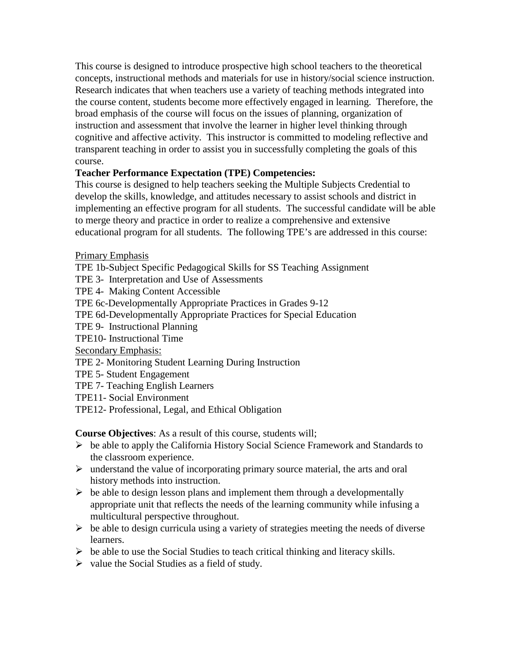This course is designed to introduce prospective high school teachers to the theoretical concepts, instructional methods and materials for use in history/social science instruction. Research indicates that when teachers use a variety of teaching methods integrated into the course content, students become more effectively engaged in learning. Therefore, the broad emphasis of the course will focus on the issues of planning, organization of instruction and assessment that involve the learner in higher level thinking through cognitive and affective activity. This instructor is committed to modeling reflective and transparent teaching in order to assist you in successfully completing the goals of this course.

# **Teacher Performance Expectation (TPE) Competencies:**

This course is designed to help teachers seeking the Multiple Subjects Credential to develop the skills, knowledge, and attitudes necessary to assist schools and district in implementing an effective program for all students. The successful candidate will be able to merge theory and practice in order to realize a comprehensive and extensive educational program for all students. The following TPE's are addressed in this course:

## Primary Emphasis

TPE 1b-Subject Specific Pedagogical Skills for SS Teaching Assignment

- TPE 3- Interpretation and Use of Assessments
- TPE 4- Making Content Accessible

TPE 6c-Developmentally Appropriate Practices in Grades 9-12

- TPE 6d-Developmentally Appropriate Practices for Special Education
- TPE 9- Instructional Planning
- TPE10- Instructional Time

Secondary Emphasis:

- TPE 2- Monitoring Student Learning During Instruction
- TPE 5- Student Engagement

TPE 7- Teaching English Learners

- TPE11- Social Environment
- TPE12- Professional, Legal, and Ethical Obligation

**Course Objectives**: As a result of this course, students will;

- $\triangleright$  be able to apply the California History Social Science Framework and Standards to the classroom experience.
- $\triangleright$  understand the value of incorporating primary source material, the arts and oral history methods into instruction.
- $\triangleright$  be able to design lesson plans and implement them through a developmentally appropriate unit that reflects the needs of the learning community while infusing a multicultural perspective throughout.
- $\triangleright$  be able to design curricula using a variety of strategies meeting the needs of diverse learners.
- $\triangleright$  be able to use the Social Studies to teach critical thinking and literacy skills.
- $\triangleright$  value the Social Studies as a field of study.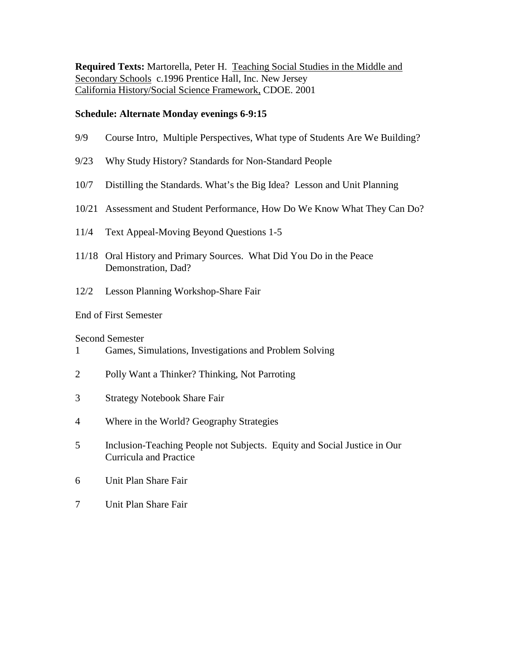**Required Texts:** Martorella, Peter H. Teaching Social Studies in the Middle and Secondary Schools c.1996 Prentice Hall, Inc. New Jersey California History/Social Science Framework, CDOE. 2001

## **Schedule: Alternate Monday evenings 6-9:15**

- 9/9 Course Intro, Multiple Perspectives, What type of Students Are We Building?
- 9/23 Why Study History? Standards for Non-Standard People
- 10/7 Distilling the Standards. What's the Big Idea? Lesson and Unit Planning
- 10/21 Assessment and Student Performance, How Do We Know What They Can Do?
- 11/4 Text Appeal-Moving Beyond Questions 1-5
- 11/18 Oral History and Primary Sources. What Did You Do in the Peace Demonstration, Dad?
- 12/2 Lesson Planning Workshop-Share Fair

## End of First Semester

## Second Semester

- 1 Games, Simulations, Investigations and Problem Solving
- 2 Polly Want a Thinker? Thinking, Not Parroting
- 3 Strategy Notebook Share Fair
- 4 Where in the World? Geography Strategies
- 5 Inclusion-Teaching People not Subjects. Equity and Social Justice in Our Curricula and Practice
- 6 Unit Plan Share Fair
- 7 Unit Plan Share Fair